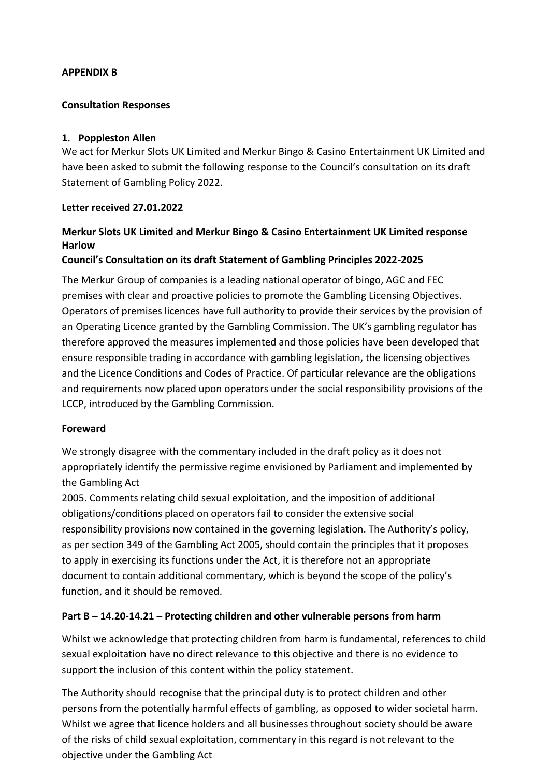#### **APPENDIX B**

#### **Consultation Responses**

#### **1. Poppleston Allen**

We act for Merkur Slots UK Limited and Merkur Bingo & Casino Entertainment UK Limited and have been asked to submit the following response to the Council's consultation on its draft Statement of Gambling Policy 2022.

#### **Letter received 27.01.2022**

# **Merkur Slots UK Limited and Merkur Bingo & Casino Entertainment UK Limited response Harlow**

### **Council's Consultation on its draft Statement of Gambling Principles 2022-2025**

The Merkur Group of companies is a leading national operator of bingo, AGC and FEC premises with clear and proactive policies to promote the Gambling Licensing Objectives. Operators of premises licences have full authority to provide their services by the provision of an Operating Licence granted by the Gambling Commission. The UK's gambling regulator has therefore approved the measures implemented and those policies have been developed that ensure responsible trading in accordance with gambling legislation, the licensing objectives and the Licence Conditions and Codes of Practice. Of particular relevance are the obligations and requirements now placed upon operators under the social responsibility provisions of the LCCP, introduced by the Gambling Commission.

#### **Foreward**

We strongly disagree with the commentary included in the draft policy as it does not appropriately identify the permissive regime envisioned by Parliament and implemented by the Gambling Act

2005. Comments relating child sexual exploitation, and the imposition of additional obligations/conditions placed on operators fail to consider the extensive social responsibility provisions now contained in the governing legislation. The Authority's policy, as per section 349 of the Gambling Act 2005, should contain the principles that it proposes to apply in exercising its functions under the Act, it is therefore not an appropriate document to contain additional commentary, which is beyond the scope of the policy's function, and it should be removed.

### **Part B – 14.20-14.21 – Protecting children and other vulnerable persons from harm**

Whilst we acknowledge that protecting children from harm is fundamental, references to child sexual exploitation have no direct relevance to this objective and there is no evidence to support the inclusion of this content within the policy statement.

The Authority should recognise that the principal duty is to protect children and other persons from the potentially harmful effects of gambling, as opposed to wider societal harm. Whilst we agree that licence holders and all businesses throughout society should be aware of the risks of child sexual exploitation, commentary in this regard is not relevant to the objective under the Gambling Act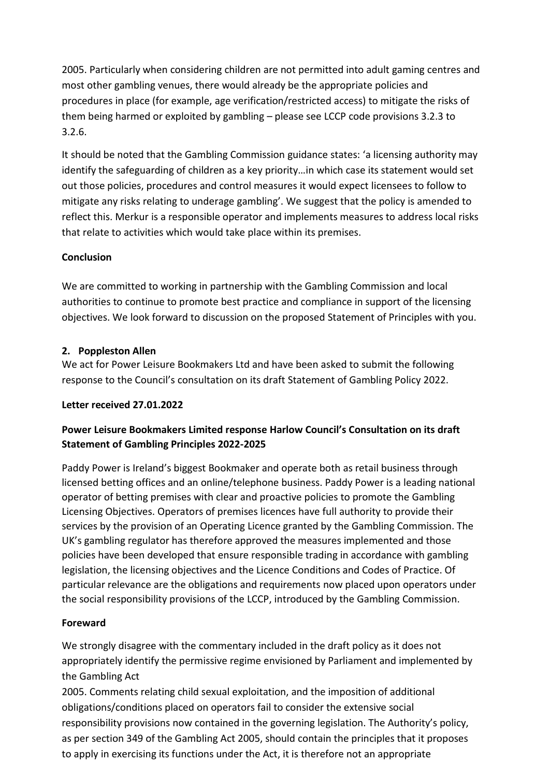2005. Particularly when considering children are not permitted into adult gaming centres and most other gambling venues, there would already be the appropriate policies and procedures in place (for example, age verification/restricted access) to mitigate the risks of them being harmed or exploited by gambling – please see LCCP code provisions 3.2.3 to 3.2.6.

It should be noted that the Gambling Commission guidance states: 'a licensing authority may identify the safeguarding of children as a key priority…in which case its statement would set out those policies, procedures and control measures it would expect licensees to follow to mitigate any risks relating to underage gambling'. We suggest that the policy is amended to reflect this. Merkur is a responsible operator and implements measures to address local risks that relate to activities which would take place within its premises.

## **Conclusion**

We are committed to working in partnership with the Gambling Commission and local authorities to continue to promote best practice and compliance in support of the licensing objectives. We look forward to discussion on the proposed Statement of Principles with you.

## **2. Poppleston Allen**

We act for Power Leisure Bookmakers Ltd and have been asked to submit the following response to the Council's consultation on its draft Statement of Gambling Policy 2022.

## **Letter received 27.01.2022**

## **Power Leisure Bookmakers Limited response Harlow Council's Consultation on its draft Statement of Gambling Principles 2022-2025**

Paddy Power is Ireland's biggest Bookmaker and operate both as retail business through licensed betting offices and an online/telephone business. Paddy Power is a leading national operator of betting premises with clear and proactive policies to promote the Gambling Licensing Objectives. Operators of premises licences have full authority to provide their services by the provision of an Operating Licence granted by the Gambling Commission. The UK's gambling regulator has therefore approved the measures implemented and those policies have been developed that ensure responsible trading in accordance with gambling legislation, the licensing objectives and the Licence Conditions and Codes of Practice. Of particular relevance are the obligations and requirements now placed upon operators under the social responsibility provisions of the LCCP, introduced by the Gambling Commission.

### **Foreward**

We strongly disagree with the commentary included in the draft policy as it does not appropriately identify the permissive regime envisioned by Parliament and implemented by the Gambling Act

2005. Comments relating child sexual exploitation, and the imposition of additional obligations/conditions placed on operators fail to consider the extensive social responsibility provisions now contained in the governing legislation. The Authority's policy, as per section 349 of the Gambling Act 2005, should contain the principles that it proposes to apply in exercising its functions under the Act, it is therefore not an appropriate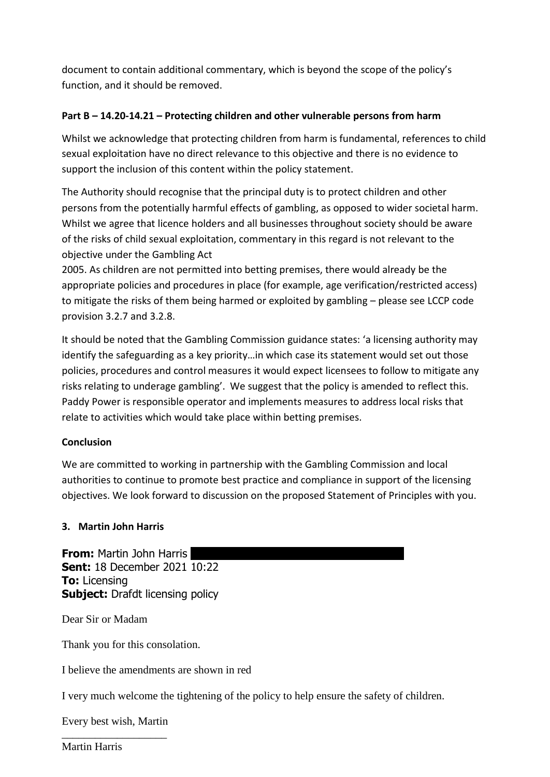document to contain additional commentary, which is beyond the scope of the policy's function, and it should be removed.

## **Part B – 14.20-14.21 – Protecting children and other vulnerable persons from harm**

Whilst we acknowledge that protecting children from harm is fundamental, references to child sexual exploitation have no direct relevance to this objective and there is no evidence to support the inclusion of this content within the policy statement.

The Authority should recognise that the principal duty is to protect children and other persons from the potentially harmful effects of gambling, as opposed to wider societal harm. Whilst we agree that licence holders and all businesses throughout society should be aware of the risks of child sexual exploitation, commentary in this regard is not relevant to the objective under the Gambling Act

2005. As children are not permitted into betting premises, there would already be the appropriate policies and procedures in place (for example, age verification/restricted access) to mitigate the risks of them being harmed or exploited by gambling – please see LCCP code provision 3.2.7 and 3.2.8.

It should be noted that the Gambling Commission guidance states: 'a licensing authority may identify the safeguarding as a key priority…in which case its statement would set out those policies, procedures and control measures it would expect licensees to follow to mitigate any risks relating to underage gambling'. We suggest that the policy is amended to reflect this. Paddy Power is responsible operator and implements measures to address local risks that relate to activities which would take place within betting premises.

### **Conclusion**

We are committed to working in partnership with the Gambling Commission and local authorities to continue to promote best practice and compliance in support of the licensing objectives. We look forward to discussion on the proposed Statement of Principles with you.

### **3. Martin John Harris**

**From:** Martin John Harris **Sent:** 18 December 2021 10:22 **To:** Licensing **Subject:** Drafdt licensing policy

Dear Sir or Madam

Thank you for this consolation.

I believe the amendments are shown in red

I very much welcome the tightening of the policy to help ensure the safety of children.

Every best wish, Martin \_\_\_\_\_\_\_\_\_\_\_\_\_\_\_\_\_\_\_

Martin Harris